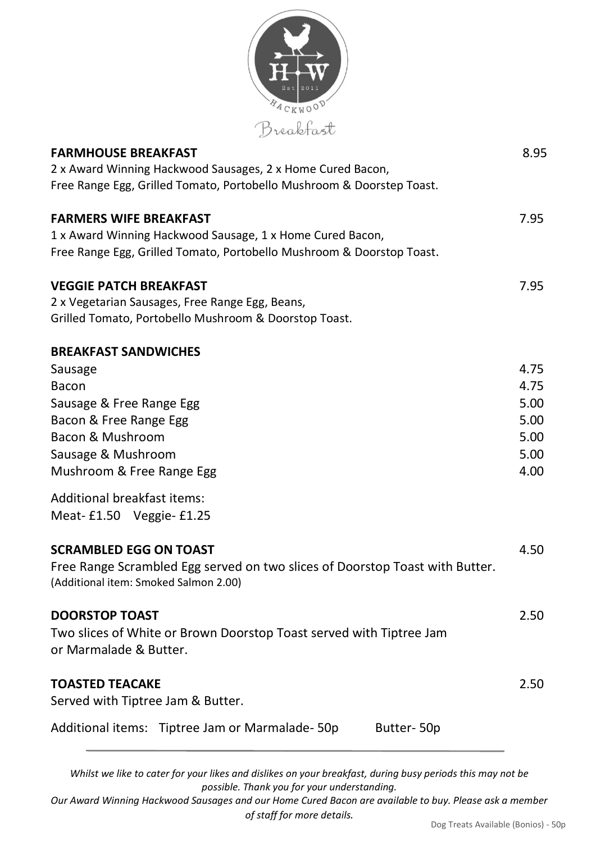

| <b>FARMHOUSE BREAKFAST</b>                                                   | 8.95 |
|------------------------------------------------------------------------------|------|
| 2 x Award Winning Hackwood Sausages, 2 x Home Cured Bacon,                   |      |
| Free Range Egg, Grilled Tomato, Portobello Mushroom & Doorstep Toast.        |      |
| <b>FARMERS WIFE BREAKFAST</b>                                                | 7.95 |
| 1 x Award Winning Hackwood Sausage, 1 x Home Cured Bacon,                    |      |
| Free Range Egg, Grilled Tomato, Portobello Mushroom & Doorstop Toast.        |      |
| <b>VEGGIE PATCH BREAKFAST</b>                                                | 7.95 |
| 2 x Vegetarian Sausages, Free Range Egg, Beans,                              |      |
| Grilled Tomato, Portobello Mushroom & Doorstop Toast.                        |      |
| <b>BREAKFAST SANDWICHES</b>                                                  |      |
| Sausage                                                                      | 4.75 |
| <b>Bacon</b>                                                                 | 4.75 |
| Sausage & Free Range Egg                                                     | 5.00 |
| Bacon & Free Range Egg                                                       | 5.00 |
| Bacon & Mushroom                                                             | 5.00 |
| Sausage & Mushroom                                                           | 5.00 |
| Mushroom & Free Range Egg                                                    | 4.00 |
| Additional breakfast items:                                                  |      |
| Meat-£1.50 Veggie-£1.25                                                      |      |
| <b>SCRAMBLED EGG ON TOAST</b>                                                | 4.50 |
| Free Range Scrambled Egg served on two slices of Doorstop Toast with Butter. |      |
| (Additional item: Smoked Salmon 2.00)                                        |      |
| <b>DOORSTOP TOAST</b>                                                        | 2.50 |
| Two slices of White or Brown Doorstop Toast served with Tiptree Jam          |      |
| or Marmalade & Butter.                                                       |      |
| <b>TOASTED TEACAKE</b>                                                       | 2.50 |
| Served with Tiptree Jam & Butter.                                            |      |
| Additional items: Tiptree Jam or Marmalade-50p<br>Butter-50p                 |      |
|                                                                              |      |

Whilst we like to cater for your likes and dislikes on your breakfast, during busy periods this may not be *possible. Thank you for your understanding.*

Our Award Winning Hackwood Sausages and our Home Cured Bacon are available to buy. Please ask a member *of staff for more details.*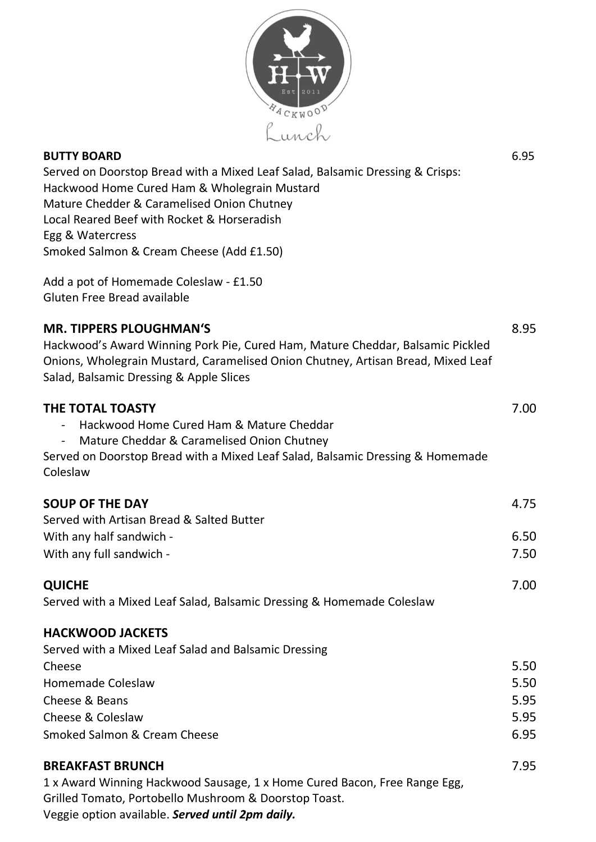

| <b>BUTTY BOARD</b>                                                            |  |  |  |
|-------------------------------------------------------------------------------|--|--|--|
| Served on Doorstop Bread with a Mixed Leaf Salad, Balsamic Dressing & Crisps: |  |  |  |
| Hackwood Home Cured Ham & Wholegrain Mustard                                  |  |  |  |
| Mature Chedder & Caramelised Onion Chutney                                    |  |  |  |
| Local Reared Beef with Rocket & Horseradish                                   |  |  |  |
| Egg & Watercress                                                              |  |  |  |
| Smoked Salmon & Cream Cheese (Add £1.50)                                      |  |  |  |
| Add a pot of Homemade Coleslaw - £1.50<br>Gluten Free Bread available         |  |  |  |

## **MR. TIPPERS PLOUGHMAN'S** 8.95 Hackwood's Award Winning Pork Pie, Cured Ham, Mature Cheddar, Balsamic Pickled Onions, Wholegrain Mustard, Caramelised Onion Chutney, Artisan Bread, Mixed Leaf

Salad, Balsamic Dressing & Apple Slices

| <b>THE TOTAL TOASTY</b>                                                        | 7.00 |
|--------------------------------------------------------------------------------|------|
| Hackwood Home Cured Ham & Mature Cheddar                                       |      |
| Mature Cheddar & Caramelised Onion Chutney                                     |      |
| Served on Doorstop Bread with a Mixed Leaf Salad, Balsamic Dressing & Homemade |      |
| Coleslaw                                                                       |      |
| <b>SOUP OF THE DAY</b>                                                         | 4.75 |
| Served with Artisan Bread & Salted Butter                                      |      |
| With any half sandwich -                                                       | 6.50 |
| With any full sandwich -                                                       | 7.50 |
| <b>QUICHE</b>                                                                  | 7.00 |
| Served with a Mixed Leaf Salad, Balsamic Dressing & Homemade Coleslaw          |      |
| <b>HACKWOOD JACKETS</b>                                                        |      |
| Served with a Mixed Leaf Salad and Balsamic Dressing                           |      |
| Cheese                                                                         | 5.50 |
| <b>Homemade Coleslaw</b>                                                       | 5.50 |
| Cheese & Beans                                                                 | 5.95 |
| Cheese & Coleslaw                                                              | 5.95 |
| Smoked Salmon & Cream Cheese                                                   | 6.95 |
| <b>BREAKFAST BRUNCH</b>                                                        | 7.95 |
| 1 x Award Winning Hackwood Sausage, 1 x Home Cured Bacon, Free Range Egg,      |      |
| Grilled Tomato, Portobello Mushroom & Doorstop Toast.                          |      |

Veggie option available. *Served until 2pm daily.*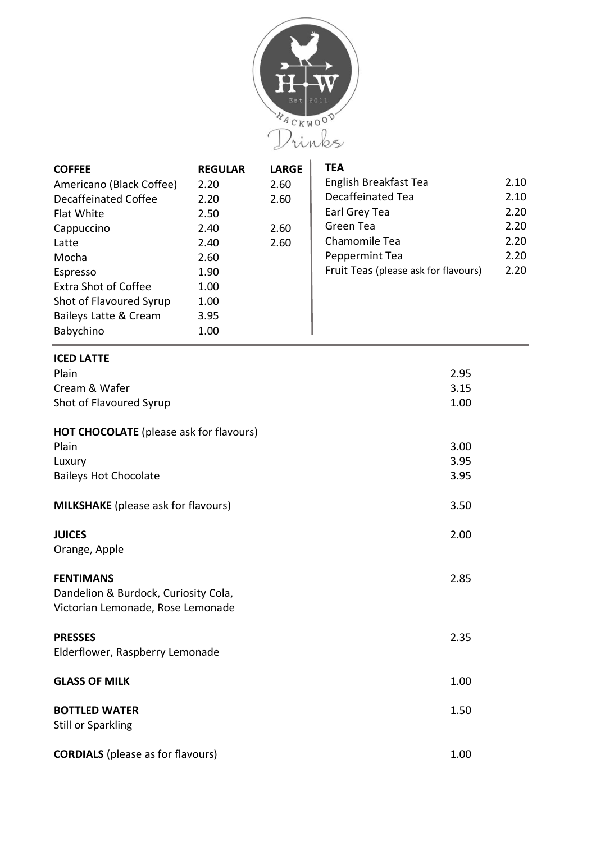

| <b>COFFEE</b>               | <b>REGULAR</b> | <b>LARGE</b> | <b>TEA</b>                           |      |
|-----------------------------|----------------|--------------|--------------------------------------|------|
| Americano (Black Coffee)    | 2.20           | 2.60         | English Breakfast Tea                | 2.10 |
| Decaffeinated Coffee        | 2.20           | 2.60         | Decaffeinated Tea                    | 2.10 |
| <b>Flat White</b>           | 2.50           |              | Earl Grey Tea                        | 2.20 |
| Cappuccino                  | 2.40           | 2.60         | Green Tea                            | 2.20 |
| Latte                       | 2.40           | 2.60         | Chamomile Tea                        | 2.20 |
| Mocha                       | 2.60           |              | Peppermint Tea                       | 2.20 |
| Espresso                    | 1.90           |              | Fruit Teas (please ask for flavours) | 2.20 |
| <b>Extra Shot of Coffee</b> | 1.00           |              |                                      |      |
| Shot of Flavoured Syrup     | 1.00           |              |                                      |      |
| Baileys Latte & Cream       | 3.95           |              |                                      |      |
| Babychino                   | 1.00           |              |                                      |      |

# **ICED LATTE** Plain 2.95 Cream & Wafer 3.15 Shot of Flavoured Syrup 1.00 **HOT CHOCOLATE** (please ask for flavours) Plain 3.00 Luxury 3.95 Baileys Hot Chocolate 3.95 **MILKSHAKE** (please ask for flavours) 3.50 **JUICES** 2.00 Orange, Apple **FENTIMANS** 2.85 Dandelion & Burdock, Curiosity Cola, Victorian Lemonade, Rose Lemonade **PRESSES** 2.35 Elderflower, Raspberry Lemonade **GLASS OF MILK** 1.00 **BOTTLED WATER** 1.50 Still or Sparkling

**CORDIALS** (please as for flavours) 1.00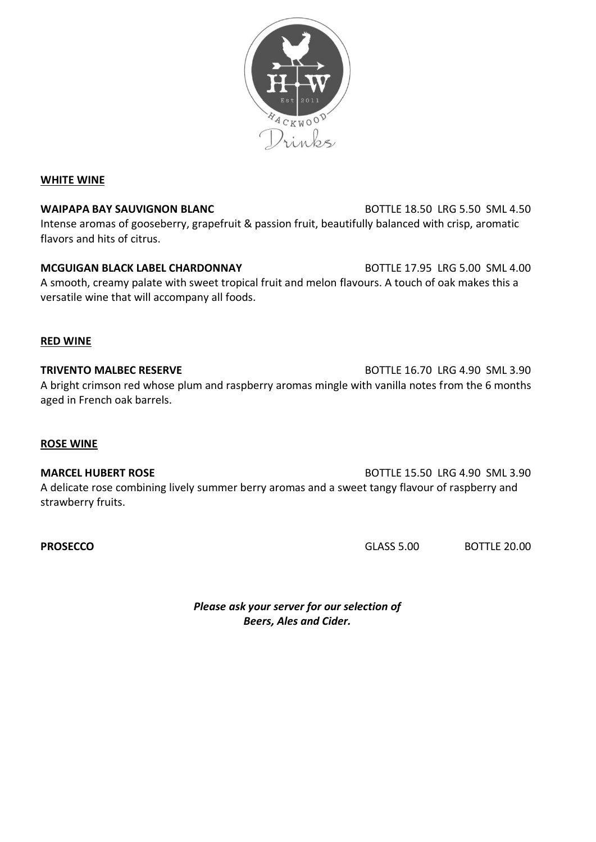

### **WHITE WINE**

**WAIPAPA BAY SAUVIGNON BLANC** BOTTLE 18.50 LRG 5.50 SML 4.50 Intense aromas of gooseberry, grapefruit & passion fruit, beautifully balanced with crisp, aromatic flavors and hits of citrus.

**MCGUIGAN BLACK LABEL CHARDONNAY** BOTTLE 17.95 LRG 5.00 SML 4.00 A smooth, creamy palate with sweet tropical fruit and melon flavours. A touch of oak makes this a versatile wine that will accompany all foods.

#### **RED WINE**

**TRIVENTO MALBEC RESERVE BOTTLE 16.70 LRG 4.90 SML 3.90** A bright crimson red whose plum and raspberry aromas mingle with vanilla notes from the 6 months aged in French oak barrels.

#### **ROSE WINE**

**MARCEL HUBERT ROSE BOTTLE 15.50 LRG 4.90 SML 3.90** A delicate rose combining lively summer berry aromas and a sweet tangy flavour of raspberry and strawberry fruits.

**PROSECCO** BOTTLE 20.00

*Please ask your server for our selection of Beers, Ales and Cider.*